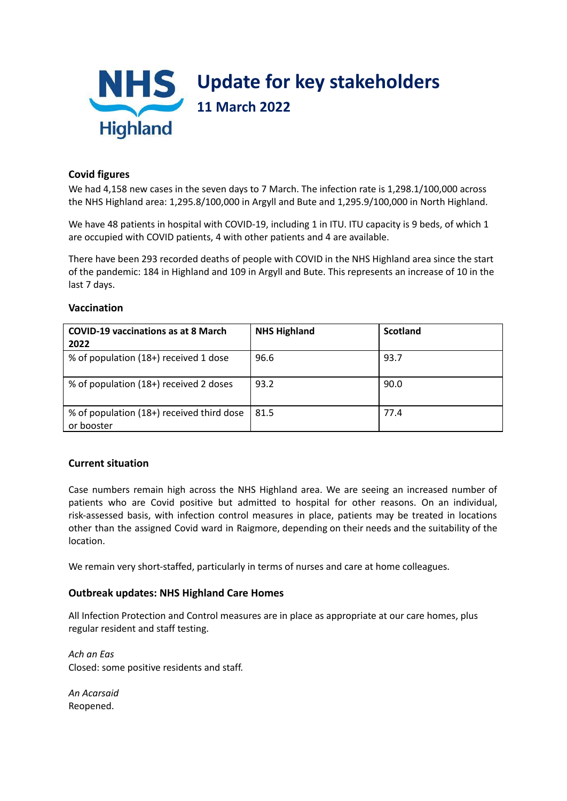

## **Covid figures**

We had 4,158 new cases in the seven days to 7 March. The infection rate is 1,298.1/100,000 across the NHS Highland area: 1,295.8/100,000 in Argyll and Bute and 1,295.9/100,000 in North Highland.

We have 48 patients in hospital with COVID-19, including 1 in ITU. ITU capacity is 9 beds, of which 1 are occupied with COVID patients, 4 with other patients and 4 are available.

There have been 293 recorded deaths of people with COVID in the NHS Highland area since the start of the pandemic: 184 in Highland and 109 in Argyll and Bute. This represents an increase of 10 in the last 7 days.

# **Vaccination**

| <b>COVID-19 vaccinations as at 8 March</b><br>2022      | <b>NHS Highland</b> | <b>Scotland</b> |
|---------------------------------------------------------|---------------------|-----------------|
| % of population (18+) received 1 dose                   | 96.6                | 93.7            |
| % of population (18+) received 2 doses                  | 93.2                | 90.0            |
| % of population (18+) received third dose<br>or booster | 81.5                | 77.4            |

## **Current situation**

Case numbers remain high across the NHS Highland area. We are seeing an increased number of patients who are Covid positive but admitted to hospital for other reasons. On an individual, risk-assessed basis, with infection control measures in place, patients may be treated in locations other than the assigned Covid ward in Raigmore, depending on their needs and the suitability of the location.

We remain very short-staffed, particularly in terms of nurses and care at home colleagues.

#### **Outbreak updates: NHS Highland Care Homes**

All Infection Protection and Control measures are in place as appropriate at our care homes, plus regular resident and staff testing.

*Ach an Eas* Closed: some positive residents and staff.

*An Acarsaid* Reopened.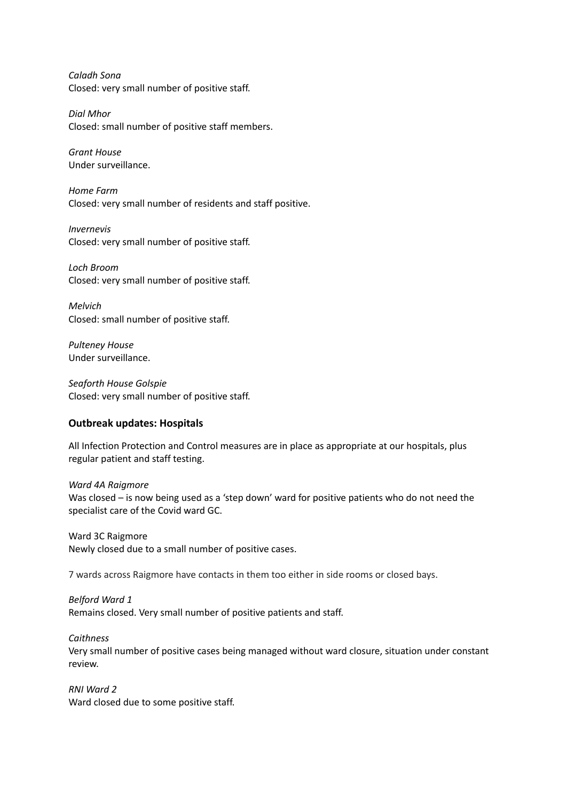*Caladh Sona* Closed: very small number of positive staff.

*Dial Mhor* Closed: small number of positive staff members.

*Grant House* Under surveillance.

*Home Farm* Closed: very small number of residents and staff positive.

*Invernevis* Closed: very small number of positive staff.

*Loch Broom* Closed: very small number of positive staff.

*Melvich* Closed: small number of positive staff.

*Pulteney House* Under surveillance.

*Seaforth House Golspie* Closed: very small number of positive staff.

## **Outbreak updates: Hospitals**

All Infection Protection and Control measures are in place as appropriate at our hospitals, plus regular patient and staff testing.

*Ward 4A Raigmore* Was closed – is now being used as a 'step down' ward for positive patients who do not need the specialist care of the Covid ward GC.

Ward 3C Raigmore Newly closed due to a small number of positive cases.

7 wards across Raigmore have contacts in them too either in side rooms or closed bays.

## *Belford Ward 1*

Remains closed. Very small number of positive patients and staff.

*Caithness*

Very small number of positive cases being managed without ward closure, situation under constant review.

*RNI Ward 2* Ward closed due to some positive staff.